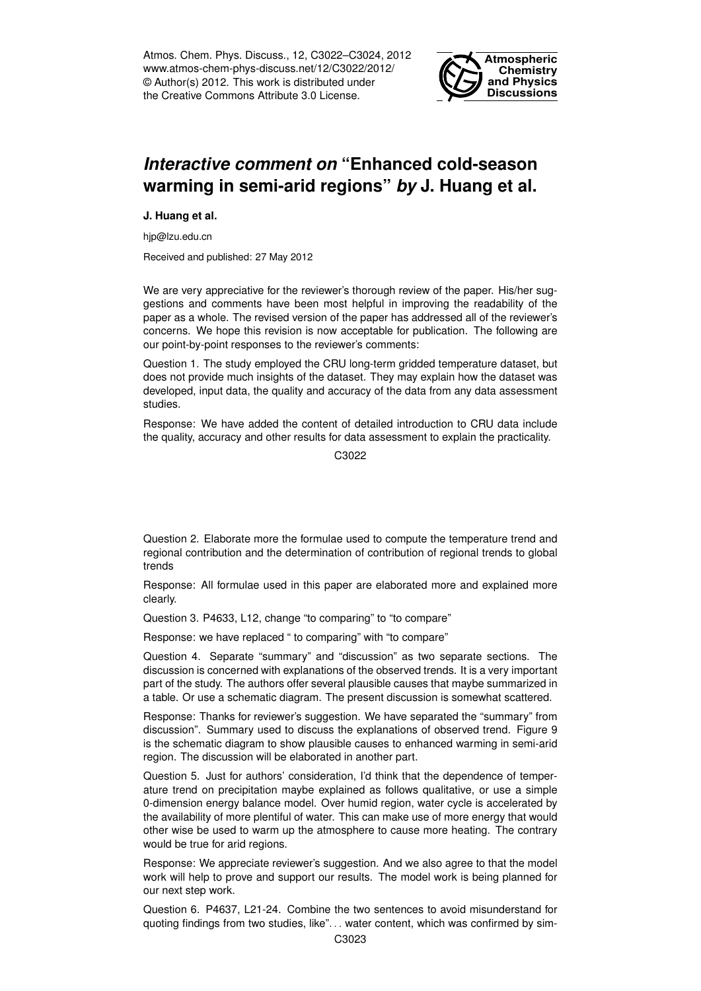Atmos. Chem. Phys. Discuss., 12, C3022–C3024, 2012 www.atmos-chem-phys-discuss.net/12/C3022/2012/ © Author(s) 2012. This work is distributed under the Creative Commons Attribute 3.0 License.



## *Interactive comment on* **"Enhanced cold-season warming in semi-arid regions"** *by* **J. Huang et al.**

**J. Huang et al.**

hjp@lzu.edu.cn

Received and published: 27 May 2012

We are very appreciative for the reviewer's thorough review of the paper. His/her suggestions and comments have been most helpful in improving the readability of the paper as a whole. The revised version of the paper has addressed all of the reviewer's concerns. We hope this revision is now acceptable for publication. The following are our point-by-point responses to the reviewer's comments:

Question 1. The study employed the CRU long-term gridded temperature dataset, but does not provide much insights of the dataset. They may explain how the dataset was developed, input data, the quality and accuracy of the data from any data assessment studies.

Response: We have added the content of detailed introduction to CRU data include the quality, accuracy and other results for data assessment to explain the practicality.

C3022

Question 2. Elaborate more the formulae used to compute the temperature trend and regional contribution and the determination of contribution of regional trends to global trends

Response: All formulae used in this paper are elaborated more and explained more clearly.

Question 3. P4633, L12, change "to comparing" to "to compare"

Response: we have replaced " to comparing" with "to compare"

Question 4. Separate "summary" and "discussion" as two separate sections. The discussion is concerned with explanations of the observed trends. It is a very important part of the study. The authors offer several plausible causes that maybe summarized in a table. Or use a schematic diagram. The present discussion is somewhat scattered.

Response: Thanks for reviewer's suggestion. We have separated the "summary" from discussion". Summary used to discuss the explanations of observed trend. Figure 9 is the schematic diagram to show plausible causes to enhanced warming in semi-arid region. The discussion will be elaborated in another part.

Question 5. Just for authors' consideration, I'd think that the dependence of temperature trend on precipitation maybe explained as follows qualitative, or use a simple 0-dimension energy balance model. Over humid region, water cycle is accelerated by the availability of more plentiful of water. This can make use of more energy that would other wise be used to warm up the atmosphere to cause more heating. The contrary would be true for arid regions.

Response: We appreciate reviewer's suggestion. And we also agree to that the model work will help to prove and support our results. The model work is being planned for our next step work.

Question 6. P4637, L21-24. Combine the two sentences to avoid misunderstand for quoting findings from two studies, like". . . water content, which was confirmed by sim